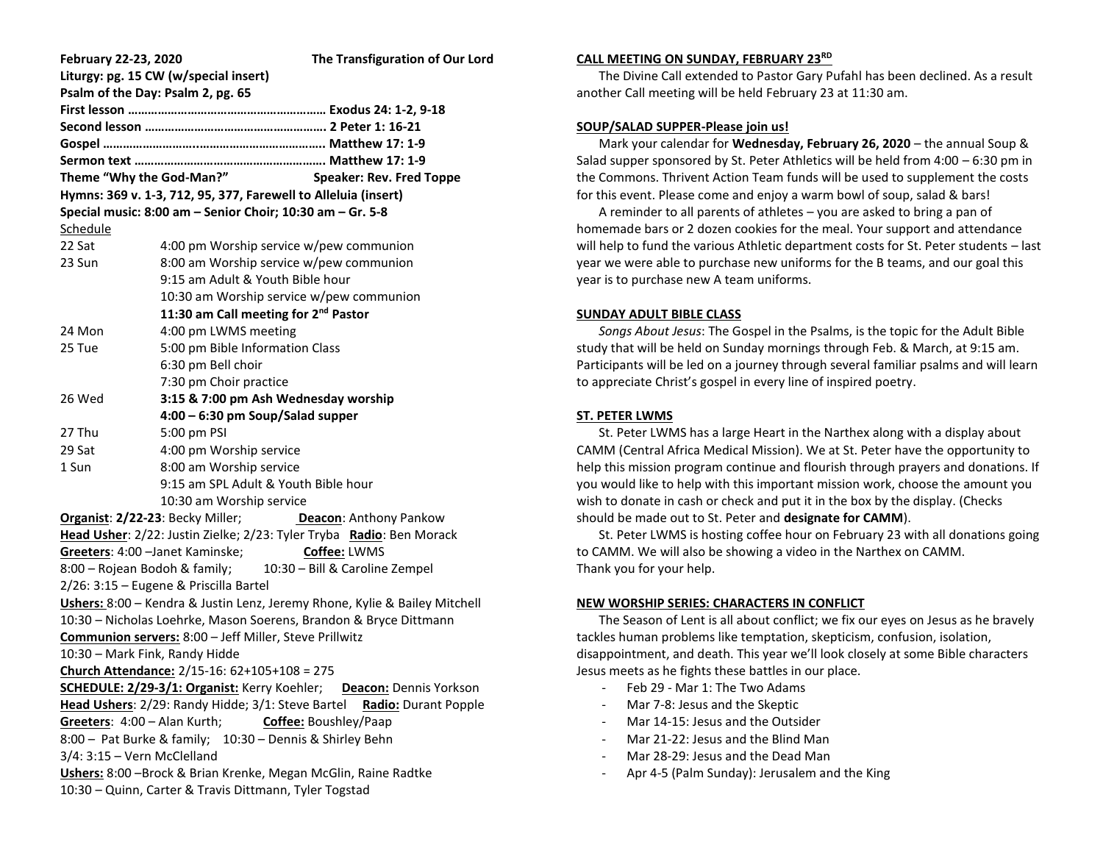| February 22-23, 2020                                                             |                                                  | The Transfiguration of Our Lord |
|----------------------------------------------------------------------------------|--------------------------------------------------|---------------------------------|
| Liturgy: pg. 15 CW (w/special insert)                                            |                                                  |                                 |
| Psalm of the Day: Psalm 2, pg. 65                                                |                                                  |                                 |
|                                                                                  |                                                  |                                 |
|                                                                                  |                                                  |                                 |
|                                                                                  |                                                  |                                 |
|                                                                                  |                                                  |                                 |
| Theme "Why the God-Man?"<br><b>Speaker: Rev. Fred Toppe</b>                      |                                                  |                                 |
| Hymns: 369 v. 1-3, 712, 95, 377, Farewell to Alleluia (insert)                   |                                                  |                                 |
| Special music: 8:00 am - Senior Choir; 10:30 am - Gr. 5-8                        |                                                  |                                 |
| Schedule                                                                         |                                                  |                                 |
| 22 Sat                                                                           | 4:00 pm Worship service w/pew communion          |                                 |
| 23 Sun                                                                           | 8:00 am Worship service w/pew communion          |                                 |
|                                                                                  | 9:15 am Adult & Youth Bible hour                 |                                 |
|                                                                                  | 10:30 am Worship service w/pew communion         |                                 |
|                                                                                  | 11:30 am Call meeting for 2 <sup>nd</sup> Pastor |                                 |
| 24 Mon                                                                           | 4:00 pm LWMS meeting                             |                                 |
| 25 Tue                                                                           | 5:00 pm Bible Information Class                  |                                 |
|                                                                                  | 6:30 pm Bell choir                               |                                 |
|                                                                                  | 7:30 pm Choir practice                           |                                 |
| 26 Wed                                                                           | 3:15 & 7:00 pm Ash Wednesday worship             |                                 |
|                                                                                  | 4:00 - 6:30 pm Soup/Salad supper                 |                                 |
| 27 Thu                                                                           | 5:00 pm PSI                                      |                                 |
| 29 Sat                                                                           | 4:00 pm Worship service                          |                                 |
| 1 Sun                                                                            | 8:00 am Worship service                          |                                 |
|                                                                                  | 9:15 am SPL Adult & Youth Bible hour             |                                 |
|                                                                                  | 10:30 am Worship service                         |                                 |
| Organist: 2/22-23: Becky Miller;<br>Deacon: Anthony Pankow                       |                                                  |                                 |
| Head Usher: 2/22: Justin Zielke; 2/23: Tyler Tryba Radio: Ben Morack             |                                                  |                                 |
| Greeters: 4:00 - Janet Kaminske;<br>Coffee: LWMS                                 |                                                  |                                 |
| 8:00 – Rojean Bodoh & family;<br>10:30 - Bill & Caroline Zempel                  |                                                  |                                 |
| 2/26: 3:15 - Eugene & Priscilla Bartel                                           |                                                  |                                 |
| Ushers: 8:00 - Kendra & Justin Lenz, Jeremy Rhone, Kylie & Bailey Mitchell       |                                                  |                                 |
| 10:30 - Nicholas Loehrke, Mason Soerens, Brandon & Bryce Dittmann                |                                                  |                                 |
| Communion servers: 8:00 - Jeff Miller, Steve Prillwitz                           |                                                  |                                 |
| 10:30 - Mark Fink, Randy Hidde                                                   |                                                  |                                 |
| Church Attendance: 2/15-16: 62+105+108 = 275                                     |                                                  |                                 |
| <b>SCHEDULE: 2/29-3/1: Organist:</b> Kerry Koehler; Deacon: Dennis Yorkson       |                                                  |                                 |
| Head Ushers: 2/29: Randy Hidde; 3/1: Steve Bartel<br><b>Radio:</b> Durant Popple |                                                  |                                 |
| Greeters: 4:00 - Alan Kurth;<br>Coffee: Boushley/Paap                            |                                                  |                                 |
| 8:00 - Pat Burke & family; 10:30 - Dennis & Shirley Behn                         |                                                  |                                 |
| 3/4: 3:15 - Vern McClelland                                                      |                                                  |                                 |
| Ushers: 8:00 -Brock & Brian Krenke, Megan McGlin, Raine Radtke                   |                                                  |                                 |
| 10:30 - Quinn, Carter & Travis Dittmann, Tyler Togstad                           |                                                  |                                 |
|                                                                                  |                                                  |                                 |

#### **CALL MEETING ON SUNDAY, FEBRUARY 23RD**

 The Divine Call extended to Pastor Gary Pufahl has been declined. As a result another Call meeting will be held February 23 at 11:30 am.

### **SOUP/SALAD SUPPER-Please join us!**

 Mark your calendar for **Wednesday, February 26, 2020** – the annual Soup & Salad supper sponsored by St. Peter Athletics will be held from 4:00 – 6:30 pm in the Commons. Thrivent Action Team funds will be used to supplement the costs for this event. Please come and enjoy a warm bowl of soup, salad & bars!

 A reminder to all parents of athletes – you are asked to bring a pan of homemade bars or 2 dozen cookies for the meal. Your support and attendance will help to fund the various Athletic department costs for St. Peter students – last year we were able to purchase new uniforms for the B teams, and our goal this year is to purchase new A team uniforms.

### **SUNDAY ADULT BIBLE CLASS**

 *Songs About Jesus*: The Gospel in the Psalms, is the topic for the Adult Bible study that will be held on Sunday mornings through Feb. & March, at 9:15 am. Participants will be led on a journey through several familiar psalms and will learn to appreciate Christ's gospel in every line of inspired poetry.

# **ST. PETER LWMS**

 St. Peter LWMS has a large Heart in the Narthex along with a display about CAMM (Central Africa Medical Mission). We at St. Peter have the opportunity to help this mission program continue and flourish through prayers and donations. If you would like to help with this important mission work, choose the amount you wish to donate in cash or check and put it in the box by the display. (Checks should be made out to St. Peter and **designate for CAMM**).

 St. Peter LWMS is hosting coffee hour on February 23 with all donations going to CAMM. We will also be showing a video in the Narthex on CAMM. Thank you for your help.

# **NEW WORSHIP SERIES: CHARACTERS IN CONFLICT**

 The Season of Lent is all about conflict; we fix our eyes on Jesus as he bravely tackles human problems like temptation, skepticism, confusion, isolation, disappointment, and death. This year we'll look closely at some Bible characters Jesus meets as he fights these battles in our place.

- Feb 29 Mar 1: The Two Adams
- Mar 7-8: Jesus and the Skeptic
- Mar 14-15: Jesus and the Outsider
- Mar 21-22: Jesus and the Blind Man
- Mar 28-29: Jesus and the Dead Man
- Apr 4-5 (Palm Sunday): Jerusalem and the King